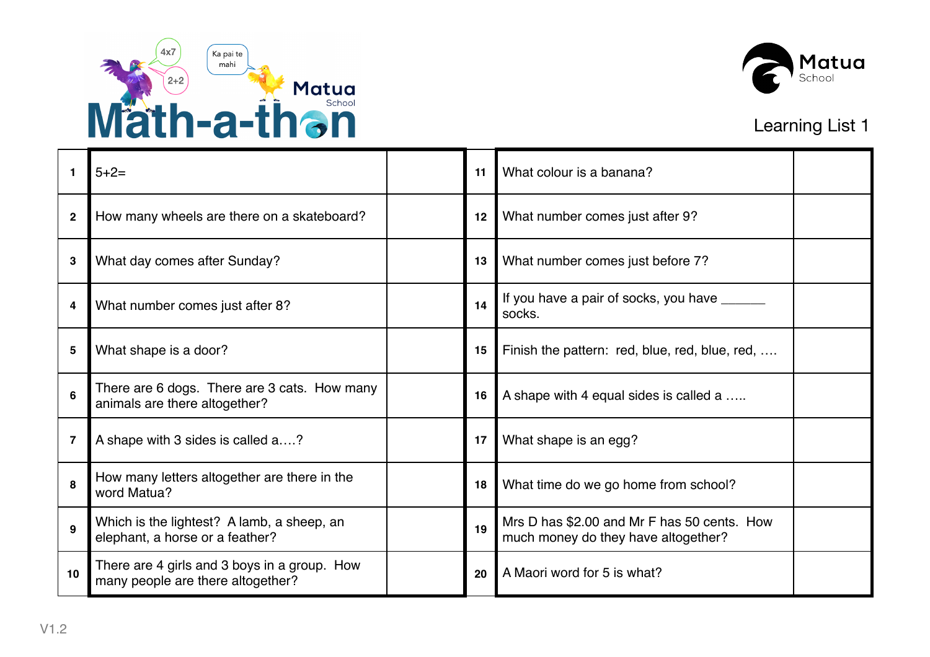



| 1               | $5 + 2 =$                                                                         | 11 | What colour is a banana?                                                           |
|-----------------|-----------------------------------------------------------------------------------|----|------------------------------------------------------------------------------------|
| $\mathbf 2$     | How many wheels are there on a skateboard?                                        | 12 | What number comes just after 9?                                                    |
| 3               | What day comes after Sunday?                                                      | 13 | What number comes just before 7?                                                   |
| 4               | What number comes just after 8?                                                   | 14 | If you have a pair of socks, you have _______<br>socks.                            |
| 5               | What shape is a door?                                                             | 15 | Finish the pattern: red, blue, red, blue, red,                                     |
| $6\phantom{1}6$ | There are 6 dogs. There are 3 cats. How many<br>animals are there altogether?     | 16 | A shape with 4 equal sides is called a                                             |
| $\overline{7}$  | A shape with 3 sides is called a?                                                 | 17 | What shape is an egg?                                                              |
| 8               | How many letters altogether are there in the<br>word Matua?                       | 18 | What time do we go home from school?                                               |
| 9               | Which is the lightest? A lamb, a sheep, an<br>elephant, a horse or a feather?     | 19 | Mrs D has \$2.00 and Mr F has 50 cents. How<br>much money do they have altogether? |
| 10              | There are 4 girls and 3 boys in a group. How<br>many people are there altogether? | 20 | A Maori word for 5 is what?                                                        |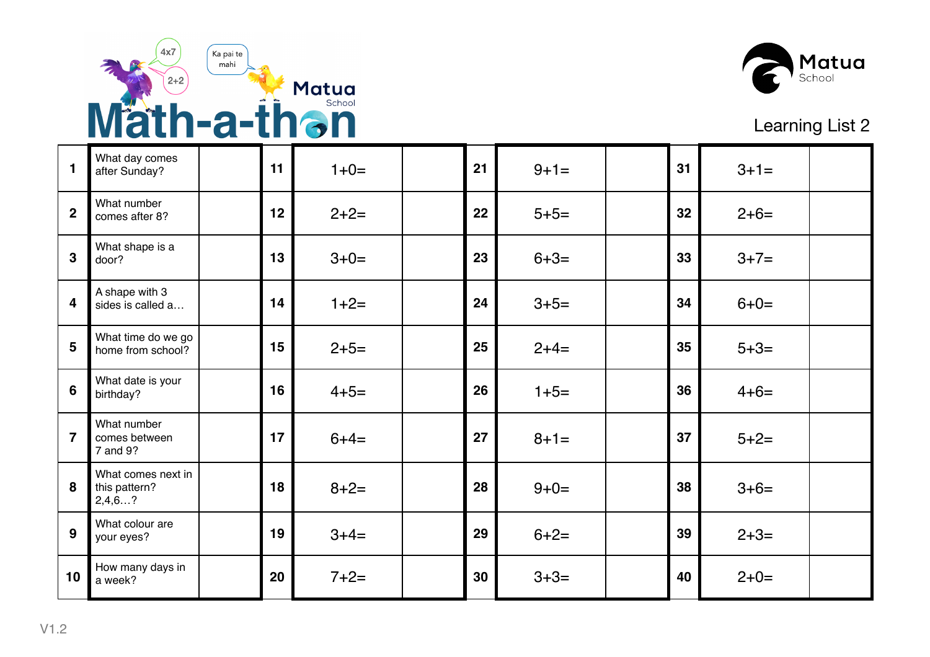



| $\blacksquare$          | What day comes<br>after Sunday?               | 11 | $1+0=$    | 21 | $9 + 1 =$ | 31 | $3 + 1 =$ |  |
|-------------------------|-----------------------------------------------|----|-----------|----|-----------|----|-----------|--|
| $\overline{2}$          | What number<br>comes after 8?                 | 12 | $2+2=$    | 22 | $5 + 5 =$ | 32 | $2+6=$    |  |
| $\overline{\mathbf{3}}$ | What shape is a<br>door?                      | 13 | $3+0=$    | 23 | $6 + 3 =$ | 33 | $3+7=$    |  |
| $\overline{\mathbf{4}}$ | A shape with 3<br>sides is called a           | 14 | $1+2=$    | 24 | $3+5=$    | 34 | $6 + 0 =$ |  |
| 5                       | What time do we go<br>home from school?       | 15 | $2+5=$    | 25 | $2+4=$    | 35 | $5 + 3 =$ |  |
| $6\phantom{1}6$         | What date is your<br>birthday?                | 16 | $4 + 5 =$ | 26 | $1+5=$    | 36 | $4 + 6 =$ |  |
| $\overline{7}$          | What number<br>comes between<br>7 and 9?      | 17 | $6 + 4 =$ | 27 | $8 + 1 =$ | 37 | $5+2=$    |  |
| 8                       | What comes next in<br>this pattern?<br>2,4,6? | 18 | $8 + 2 =$ | 28 | $9 + 0 =$ | 38 | $3+6=$    |  |
| $\overline{9}$          | What colour are<br>your eyes?                 | 19 | $3+4=$    | 29 | $6 + 2 =$ | 39 | $2 + 3 =$ |  |
| 10                      | How many days in<br>a week?                   | 20 | $7+2=$    | 30 | $3 + 3 =$ | 40 | $2+0=$    |  |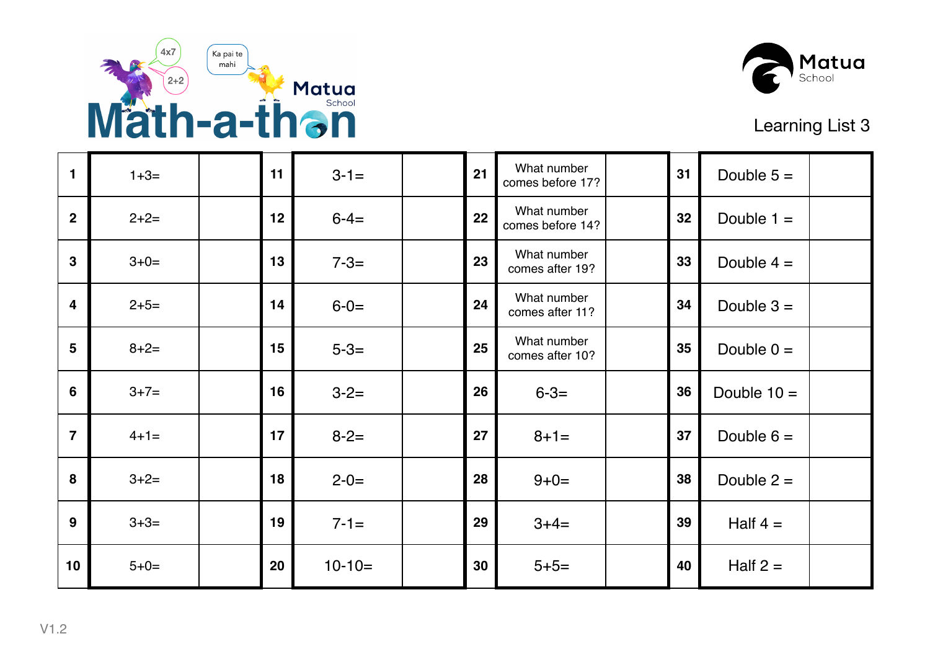



| 1              | $1+3=$    | 11 | $3 - 1 =$ | 21 | What number<br>comes before 17? | 31 | Double $5 =$  |  |
|----------------|-----------|----|-----------|----|---------------------------------|----|---------------|--|
| $\overline{2}$ | $2+2=$    | 12 | $6 - 4 =$ | 22 | What number<br>comes before 14? | 32 | Double $1 =$  |  |
| $\overline{3}$ | $3+0=$    | 13 | $7 - 3 =$ | 23 | What number<br>comes after 19?  | 33 | Double $4 =$  |  |
| $\overline{4}$ | $2+5=$    | 14 | $6 - 0 =$ | 24 | What number<br>comes after 11?  | 34 | Double $3 =$  |  |
| $5\phantom{1}$ | $8 + 2 =$ | 15 | $5 - 3 =$ | 25 | What number<br>comes after 10?  | 35 | Double $0 =$  |  |
| 6              | $3+7=$    | 16 | $3 - 2 =$ | 26 | $6 - 3 =$                       | 36 | Double $10 =$ |  |
| $\overline{7}$ | $4+1=$    | 17 | $8 - 2 =$ | 27 | $8 + 1 =$                       | 37 | Double $6 =$  |  |
| 8              | $3+2=$    | 18 | $2 - 0 =$ | 28 | $9 + 0 =$                       | 38 | Double $2 =$  |  |
| 9              | $3 + 3 =$ | 19 | $7 - 1 =$ | 29 | $3+4=$                          | 39 | Half $4=$     |  |
| 10             | $5 + 0 =$ | 20 | $10-10=$  | 30 | $5 + 5 =$                       | 40 | Half $2 =$    |  |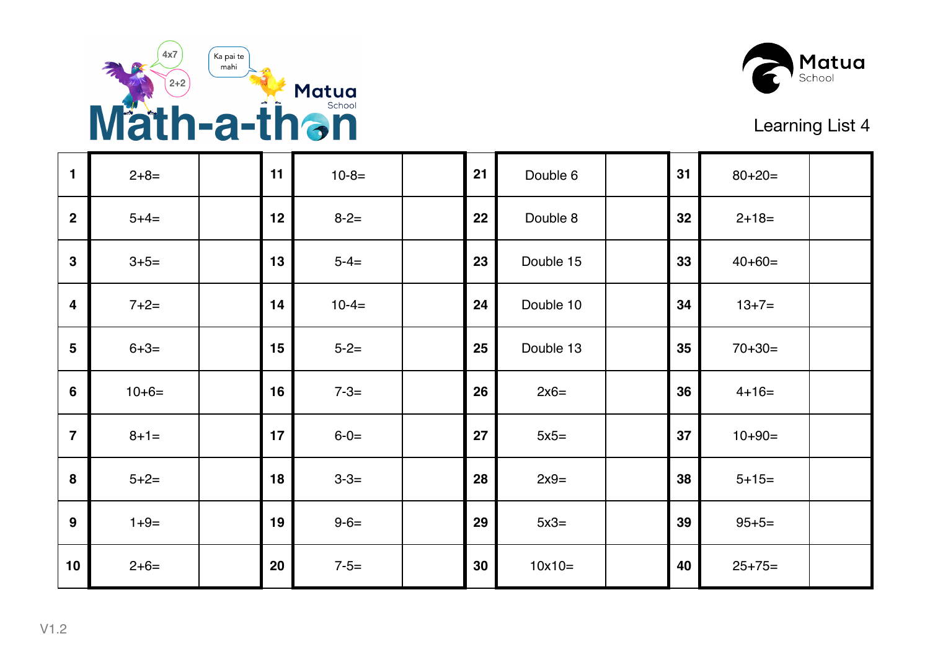



| $\mathbf{1}$            | $2+8=$    | 11 | $10-8=$   | 21 | Double 6  | 31 | $80 + 20 =$ |  |
|-------------------------|-----------|----|-----------|----|-----------|----|-------------|--|
| $\overline{2}$          | $5+4=$    | 12 | $8 - 2 =$ | 22 | Double 8  | 32 | $2+18=$     |  |
| $\mathbf{3}$            | $3+5=$    | 13 | $5 - 4 =$ | 23 | Double 15 | 33 | $40+60=$    |  |
| $\overline{\mathbf{4}}$ | $7+2=$    | 14 | $10-4=$   | 24 | Double 10 | 34 | $13+7=$     |  |
| $5\phantom{1}$          | $6 + 3 =$ | 15 | $5 - 2 =$ | 25 | Double 13 | 35 | $70 + 30 =$ |  |
| $6\phantom{1}$          | $10+6=$   | 16 | $7 - 3 =$ | 26 | $2x6=$    | 36 | $4 + 16 =$  |  |
| $\overline{7}$          | $8 + 1 =$ | 17 | $6 - 0 =$ | 27 | $5x5=$    | 37 | $10+90=$    |  |
| 8                       | $5+2=$    | 18 | $3 - 3 =$ | 28 | $2x9=$    | 38 | $5 + 15 =$  |  |
| 9                       | $1+9=$    | 19 | $9 - 6 =$ | 29 | $5x3=$    | 39 | $95 + 5 =$  |  |
| 10                      | $2+6=$    | 20 | $7 - 5 =$ | 30 | $10x10=$  | 40 | $25+75=$    |  |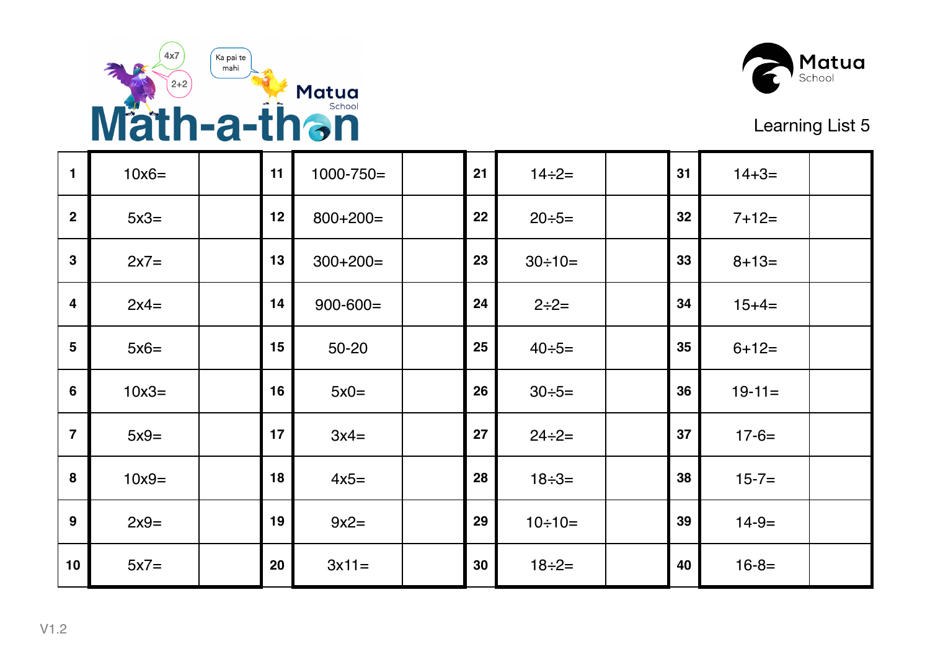



| 1               | $10x6=$ | 11 | $1000 - 750 =$ | 21 | $14 \div 2 =$  | 31 | $14 + 3 =$ |  |
|-----------------|---------|----|----------------|----|----------------|----|------------|--|
| $\overline{2}$  | $5x3=$  | 12 | $800+200=$     | 22 | $20 \div 5 =$  | 32 | $7+12=$    |  |
| $\mathbf{3}$    | $2x7=$  | 13 | $300+200=$     | 23 | $30 \div 10 =$ | 33 | $8 + 13 =$ |  |
| 4               | $2x4=$  | 14 | $900 - 600 =$  | 24 | $2 \div 2 =$   | 34 | $15+4=$    |  |
| $5\phantom{1}$  | $5x6=$  | 15 | $50 - 20$      | 25 | $40 \div 5 =$  | 35 | $6+12=$    |  |
| $6\phantom{1}6$ | $10x3=$ | 16 | $5x0=$         | 26 | $30 \div 5 =$  | 36 | $19-11=$   |  |
| $\overline{7}$  | $5x9=$  | 17 | $3x4=$         | 27 | $24 \div 2 =$  | 37 | $17 - 6 =$ |  |
| 8               | $10x9=$ | 18 | $4x5=$         | 28 | $18 \div 3 =$  | 38 | $15 - 7 =$ |  |
| 9               | $2x9=$  | 19 | $9x2=$         | 29 | $10 \div 10 =$ | 39 | $14-9=$    |  |
| 10              | $5x7=$  | 20 | $3x11=$        | 30 | $18 \div 2 =$  | 40 | $16 - 8 =$ |  |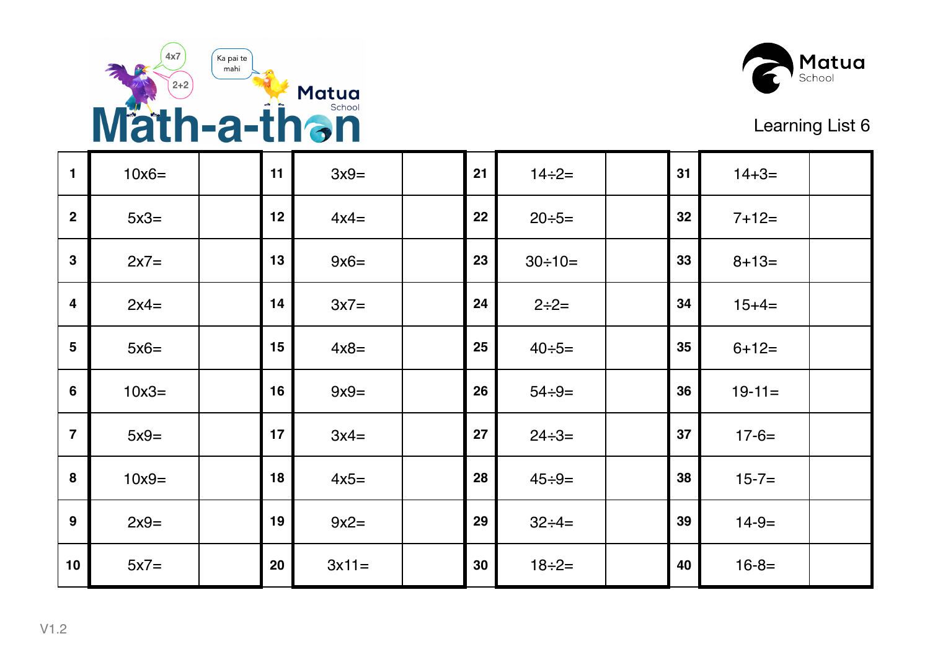



| 1              | $10x6=$ | 11 | $3x9=$  | 21 | $14 \div 2 =$  | 31 | $14 + 3 =$ |  |
|----------------|---------|----|---------|----|----------------|----|------------|--|
| $\mathbf 2$    | $5x3=$  | 12 | $4x4=$  | 22 | $20 \div 5 =$  | 32 | $7+12=$    |  |
| $\mathbf{3}$   | $2x7=$  | 13 | $9x6=$  | 23 | $30 \div 10 =$ | 33 | $8 + 13 =$ |  |
| 4              | $2x4=$  | 14 | $3x7=$  | 24 | $2 \div 2 =$   | 34 | $15+4=$    |  |
| 5              | $5x6=$  | 15 | $4x8=$  | 25 | $40 \div 5 =$  | 35 | $6+12=$    |  |
| $6\phantom{1}$ | $10x3=$ | 16 | $9x9=$  | 26 | $54 \div 9 =$  | 36 | $19-11=$   |  |
| $\overline{7}$ | $5x9=$  | 17 | $3x4=$  | 27 | $24 \div 3 =$  | 37 | $17 - 6 =$ |  |
| 8              | $10x9=$ | 18 | $4x5=$  | 28 | $45 \div 9 =$  | 38 | $15 - 7 =$ |  |
| 9              | $2x9=$  | 19 | $9x2=$  | 29 | $32 \div 4 =$  | 39 | $14-9=$    |  |
| 10             | $5x7=$  | 20 | $3x11=$ | 30 | $18 \div 2 =$  | 40 | $16 - 8 =$ |  |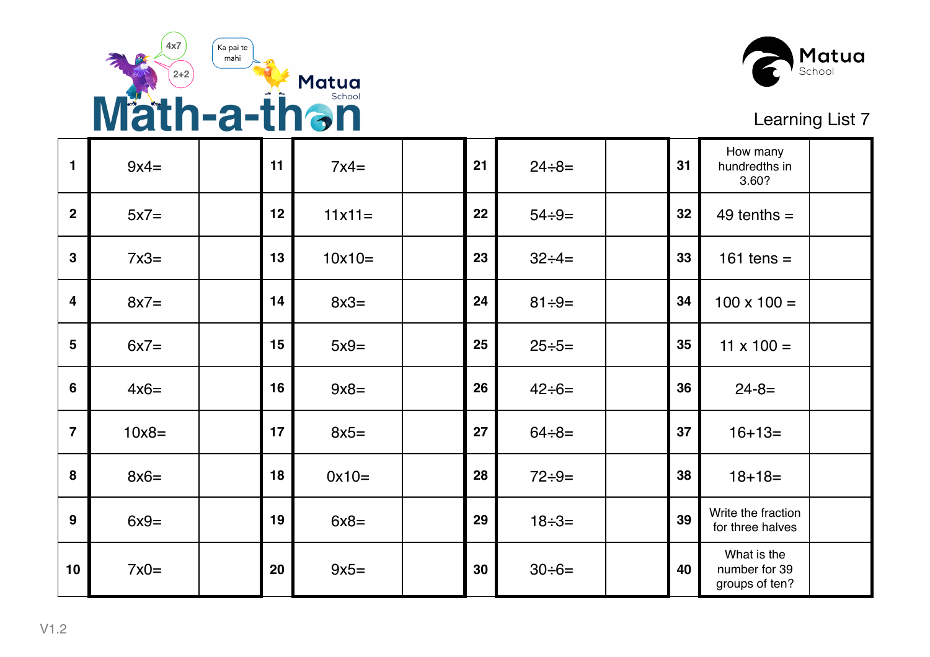



| 1                       | $9x4=$  | 11 | $7x4=$   | 21 | $24 \div 8 =$ | 31 | How many<br>hundredths in<br>3.60?             |  |
|-------------------------|---------|----|----------|----|---------------|----|------------------------------------------------|--|
| $\overline{2}$          | $5x7=$  | 12 | $11x11=$ | 22 | $54 \div 9 =$ | 32 | $49$ tenths =                                  |  |
| 3                       | $7x3=$  | 13 | $10x10=$ | 23 | $32 \div 4 =$ | 33 | 161 tens $=$                                   |  |
| $\overline{\mathbf{4}}$ | $8x7=$  | 14 | $8x3=$   | 24 | $81 \div 9 =$ | 34 | $100 \times 100 =$                             |  |
| 5                       | $6x7=$  | 15 | $5x9=$   | 25 | $25 \div 5 =$ | 35 | $11 \times 100 =$                              |  |
| 6                       | $4x6=$  | 16 | $9x8=$   | 26 | $42 \div 6 =$ | 36 | $24 - 8 =$                                     |  |
| $\overline{7}$          | $10x8=$ | 17 | $8x5=$   | 27 | $64 \div 8 =$ | 37 | $16 + 13 =$                                    |  |
| 8                       | $8x6=$  | 18 | $0x10=$  | 28 | $72 \div 9 =$ | 38 | $18 + 18 =$                                    |  |
| 9                       | $6x9=$  | 19 | $6x8=$   | 29 | $18 \div 3 =$ | 39 | Write the fraction<br>for three halves         |  |
| 10                      | $7x0=$  | 20 | $9x5=$   | 30 | $30 \div 6 =$ | 40 | What is the<br>number for 39<br>groups of ten? |  |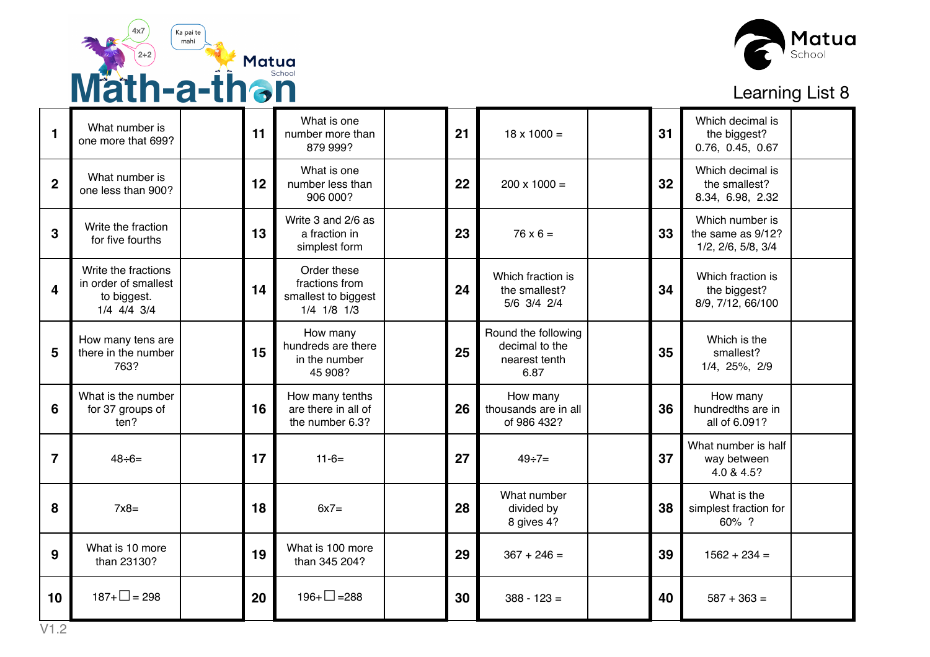



| 1              | What number is<br>one more that 699?                                      | 11 | What is one<br>number more than<br>879 999?                               | 21 | $18 \times 1000 =$                                             | 31 | Which decimal is<br>the biggest?<br>0.76, 0.45, 0.67       |  |
|----------------|---------------------------------------------------------------------------|----|---------------------------------------------------------------------------|----|----------------------------------------------------------------|----|------------------------------------------------------------|--|
| $\overline{2}$ | What number is<br>one less than 900?                                      | 12 | What is one<br>number less than<br>906 000?                               | 22 | $200 \times 1000 =$                                            | 32 | Which decimal is<br>the smallest?<br>8.34, 6.98, 2.32      |  |
| 3              | Write the fraction<br>for five fourths                                    | 13 | Write 3 and 2/6 as<br>a fraction in<br>simplest form                      | 23 | $76 \times 6 =$                                                | 33 | Which number is<br>the same as 9/12?<br>1/2, 2/6, 5/8, 3/4 |  |
| 4              | Write the fractions<br>in order of smallest<br>to biggest.<br>1/4 4/4 3/4 | 14 | Order these<br>fractions from<br>smallest to biggest<br>$1/4$ $1/8$ $1/3$ | 24 | Which fraction is<br>the smallest?<br>5/6 3/4 2/4              | 34 | Which fraction is<br>the biggest?<br>8/9, 7/12, 66/100     |  |
| 5              | How many tens are<br>there in the number<br>763?                          | 15 | How many<br>hundreds are there<br>in the number<br>45 908?                | 25 | Round the following<br>decimal to the<br>nearest tenth<br>6.87 | 35 | Which is the<br>smallest?<br>1/4, 25%, 2/9                 |  |
| 6              | What is the number<br>for 37 groups of<br>ten?                            | 16 | How many tenths<br>are there in all of<br>the number 6.3?                 | 26 | How many<br>thousands are in all<br>of 986 432?                | 36 | How many<br>hundredths are in<br>all of 6.091?             |  |
| $\overline{7}$ | $48 \div 6 =$                                                             | 17 | $11 - 6 =$                                                                | 27 | $49 \div 7 =$                                                  | 37 | What number is half<br>way between<br>4.0 & 4.5?           |  |
| 8              | $7x8=$                                                                    | 18 | $6x7=$                                                                    | 28 | What number<br>divided by<br>8 gives 4?                        | 38 | What is the<br>simplest fraction for<br>60% ?              |  |
| 9              | What is 10 more<br>than 23130?                                            | 19 | What is 100 more<br>than 345 204?                                         | 29 | $367 + 246 =$                                                  | 39 | $1562 + 234 =$                                             |  |
| 10             | $187 + \square = 298$                                                     | 20 | $196 + \square = 288$                                                     | 30 | $388 - 123 =$                                                  | 40 | $587 + 363 =$                                              |  |